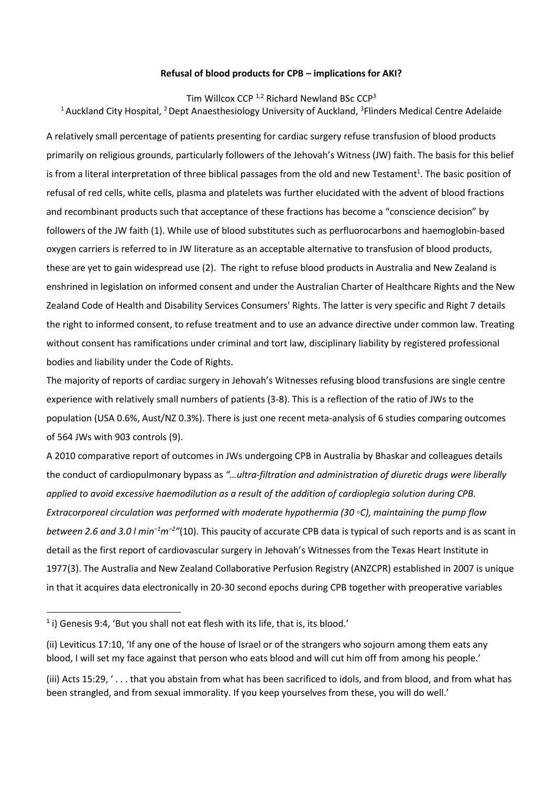## **Refusal of blood products for CPB – implications for AKI?**

### Tim Willcox CCP  $^{1,2}$  Richard Newland BSc CCP<sup>3</sup>

<sup>1</sup> Auckland City Hospital, <sup>2</sup> Dept Anaesthesiology University of Auckland, <sup>3</sup>Flinders Medical Centre Adelaide

A relatively small percentage of patients presenting for cardiac surgery refuse transfusion of blood products primarily on religious grounds, particularly followers of the Jehovah's Witness (JW) faith. The basis for this belief is from a literal interpretation of three biblical passages from the old and new Testament<sup>1</sup>. The basic position of refusal of red cells, white cells, plasma and platelets was further elucidated with the advent of blood fractions and recombinant products such that acceptance of these fractions has become a "conscience decision" by followers of the JW faith [\(1\)](#page-6-0). While use of blood substitutes such as perfluorocarbons and haemoglobin-based oxygen carriers is referred to in JW literature as an acceptable alternative to transfusion of blood products, these are yet to gain widespread use [\(2\)](#page-6-1). The right to refuse blood products in Australia and New Zealand is enshrined in legislation on informed consent and under the Australian Charter of Healthcare Rights and the New Zealand Code of Health and Disability Services Consumers' Rights. The latter is very specific and Right 7 details the right to informed consent, to refuse treatment and to use an advance directive under common law. Treating without consent has ramifications under criminal and tort law, disciplinary liability by registered professional bodies and liability under the Code of Rights.

The majority of reports of cardiac surgery in Jehovah's Witnesses refusing blood transfusions are single centre experience with relatively small numbers of patients [\(3-8\)](#page-6-2). This is a reflection of the ratio of JWs to the population (USA 0.6%, Aust/NZ 0.3%). There is just one recent meta-analysis of 6 studies comparing outcomes of 564 JWs with 903 controls [\(9\)](#page-6-3).

A 2010 comparative report of outcomes in JWs undergoing CPB in Australia by Bhaskar and colleagues details the conduct of cardiopulmonary bypass as *"…ultra-filtration and administration of diuretic drugs were liberally applied to avoid excessive haemodilution as a result of the addition of cardioplegia solution during CPB. Extracorporeal circulation was performed with moderate hypothermia (30 ◦C), maintaining the pump flow between 2.6 and 3.0 l min<sup>−</sup><sup>1</sup>m<sup>−</sup><sup>2</sup> "*[\(10\)](#page-6-4). This paucity of accurate CPB data is typical of such reports and is as scant in detail as the first report of cardiovascular surgery in Jehovah's Witnesses from the Texas Heart Institute in 1977[\(3\)](#page-6-2). The Australia and New Zealand Collaborative Perfusion Registry (ANZCPR) established in 2007 is unique in that it acquires data electronically in 20-30 second epochs during CPB together with preoperative variables

 $\overline{a}$ 

 $^1$  i) Genesis 9:4, 'But you shall not eat flesh with its life, that is, its blood.'

<sup>(</sup>ii) Leviticus 17:10, 'If any one of the house of Israel or of the strangers who sojourn among them eats any blood, I will set my face against that person who eats blood and will cut him off from among his people.'

<sup>(</sup>iii) Acts 15:29, ' . . . that you abstain from what has been sacrificed to idols, and from blood, and from what has been strangled, and from sexual immorality. If you keep yourselves from these, you will do well.'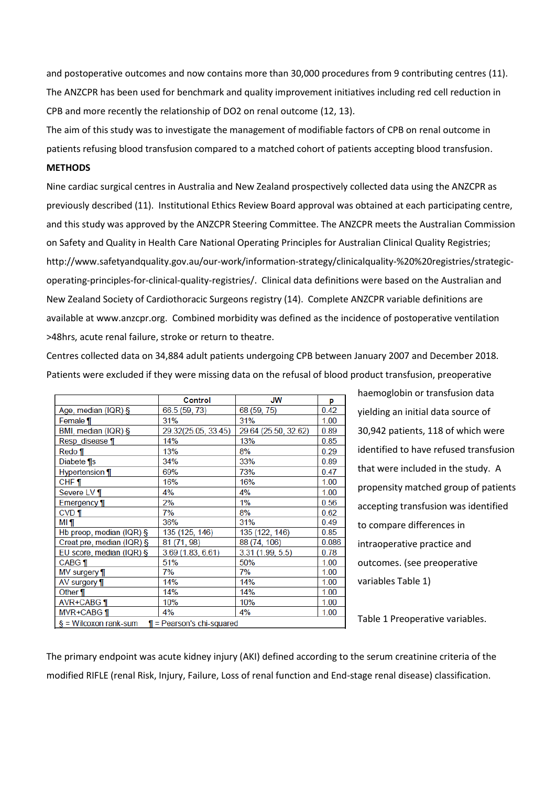and postoperative outcomes and now contains more than 30,000 procedures from 9 contributing centres [\(11\)](#page-6-5). The ANZCPR has been used for benchmark and quality improvement initiatives including red cell reduction in CPB and more recently the relationship of DO2 on renal outcome [\(12,](#page-6-6) [13\)](#page-6-7).

The aim of this study was to investigate the management of modifiable factors of CPB on renal outcome in patients refusing blood transfusion compared to a matched cohort of patients accepting blood transfusion.

## **METHODS**

Nine cardiac surgical centres in Australia and New Zealand prospectively collected data using the ANZCPR as previously described (11). Institutional Ethics Review Board approval was obtained at each participating centre, and this study was approved by the ANZCPR Steering Committee. The ANZCPR meets the Australian Commission on Safety and Quality in Health Care National Operating Principles for Australian Clinical Quality Registries; http://www.safetyandquality.gov.au/our-work/information-strategy/clinicalquality-%20%20registries/strategicoperating-principles-for-clinical-quality-registries/. Clinical data definitions were based on the Australian and New Zealand Society of Cardiothoracic Surgeons registry (14). Complete ANZCPR variable definitions are available at www.anzcpr.org. Combined morbidity was defined as the incidence of postoperative ventilation >48hrs, acute renal failure, stroke or return to theatre.

Centres collected data on 34,884 adult patients undergoing CPB between January 2007 and December 2018. Patients were excluded if they were missing data on the refusal of blood product transfusion, preoperative

|                                                          | <b>Control</b>      | <b>JW</b>            | р     |  |  |  |
|----------------------------------------------------------|---------------------|----------------------|-------|--|--|--|
| Age, median (IQR) §                                      | 66.5 (59, 73)       | 68 (59, 75)          | 0.42  |  |  |  |
| Female ¶                                                 | 31%                 | 31%                  | 1.00  |  |  |  |
| BMI, median (IQR) §                                      | 29.32(25.05, 33.45) | 29.64 (25.50, 32.62) | 0.89  |  |  |  |
| Resp disease ¶                                           | 14%                 | 13%                  | 0.85  |  |  |  |
| Redo ¶                                                   | 13%                 | 8%                   | 0.29  |  |  |  |
| Diabete ¶s                                               | 34%                 | 33%                  | 0.89  |  |  |  |
| Hypertension ¶                                           | 69%                 | 73%                  | 0.47  |  |  |  |
| $CHF$ 1                                                  | 16%                 | 16%                  | 1.00  |  |  |  |
| Severe LV ¶                                              | 4%                  | 4%                   | 1.00  |  |  |  |
| Emergency ¶                                              | 2%                  | 1%                   | 0.56  |  |  |  |
| $CVD$ ¶                                                  | 7%                  | 8%                   | 0.62  |  |  |  |
| MI ¶                                                     | 36%                 | 31%                  | 0.49  |  |  |  |
| Hb preop, median (IQR) $\S$                              | 135 (125, 146)      | 135 (122, 146)       | 0.85  |  |  |  |
| Creat pre, median (IQR) §                                | 81 (71, 98)         | 88 (74, 106)         | 0.086 |  |  |  |
| EU score, median (IQR) §                                 | 3.69(1.83, 6.61)    | 3.31 (1.99, 5.5)     | 0.78  |  |  |  |
| <b>CABG</b> 1                                            | 51%                 | 50%                  | 1.00  |  |  |  |
| MV surgery 1                                             | 7%                  | 7%                   | 1.00  |  |  |  |
| AV surgery 1                                             | 14%                 | 14%                  | 1.00  |  |  |  |
| Other ¶                                                  | 14%                 | 14%                  | 1.00  |  |  |  |
| AVR+CABG ¶                                               | 10%                 | 10%                  | 1.00  |  |  |  |
| MVR+CABG ¶                                               | 4%                  | 4%                   | 1.00  |  |  |  |
| $\S =$ Wilcoxon rank-sum<br>$\P$ = Pearson's chi-squared |                     |                      |       |  |  |  |

haemoglobin or transfusion data yielding an initial data source of 30,942 patients, 118 of which were identified to have refused transfusion that were included in the study. A propensity matched group of patients accepting transfusion was identified to compare differences in intraoperative practice and outcomes. (see preoperative variables Table 1)

Table 1 Preoperative variables.

The primary endpoint was acute kidney injury (AKI) defined according to the serum creatinine criteria of the modified RIFLE (renal Risk, Injury, Failure, Loss of renal function and End-stage renal disease) classification.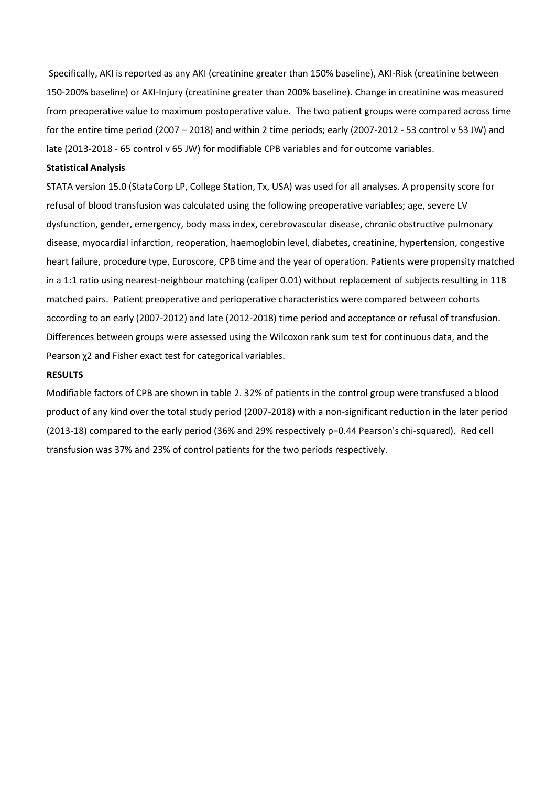Specifically, AKI is reported as any AKI (creatinine greater than 150% baseline), AKI-Risk (creatinine between 150-200% baseline) or AKI-Injury (creatinine greater than 200% baseline). Change in creatinine was measured from preoperative value to maximum postoperative value. The two patient groups were compared across time for the entire time period (2007 – 2018) and within 2 time periods; early (2007-2012 - 53 control v 53 JW) and late (2013-2018 - 65 control v 65 JW) for modifiable CPB variables and for outcome variables.

## **Statistical Analysis**

STATA version 15.0 (StataCorp LP, College Station, Tx, USA) was used for all analyses. A propensity score for refusal of blood transfusion was calculated using the following preoperative variables; age, severe LV dysfunction, gender, emergency, body mass index, cerebrovascular disease, chronic obstructive pulmonary disease, myocardial infarction, reoperation, haemoglobin level, diabetes, creatinine, hypertension, congestive heart failure, procedure type, Euroscore, CPB time and the year of operation. Patients were propensity matched in a 1:1 ratio using nearest-neighbour matching (caliper 0.01) without replacement of subjects resulting in 118 matched pairs. Patient preoperative and perioperative characteristics were compared between cohorts according to an early (2007-2012) and late (2012-2018) time period and acceptance or refusal of transfusion. Differences between groups were assessed using the Wilcoxon rank sum test for continuous data, and the Pearson χ2 and Fisher exact test for categorical variables.

#### **RESULTS**

Modifiable factors of CPB are shown in table 2. 32% of patients in the control group were transfused a blood product of any kind over the total study period (2007-2018) with a non-significant reduction in the later period (2013-18) compared to the early period (36% and 29% respectively p=0.44 Pearson's chi-squared). Red cell transfusion was 37% and 23% of control patients for the two periods respectively.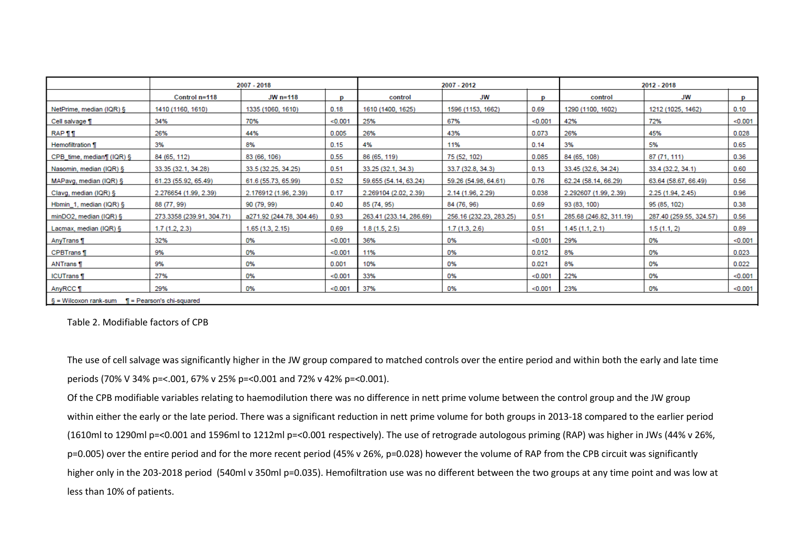|                                                         | 2007 - 2018               |                          | 2007 - 2012 |                         | 2012 - 2018             |         |                         |                         |         |
|---------------------------------------------------------|---------------------------|--------------------------|-------------|-------------------------|-------------------------|---------|-------------------------|-------------------------|---------|
|                                                         | Control n=118             | $JW$ n=118               | D           | control                 | JW                      | D       | control                 | JW                      | D       |
| NetPrime, median (IQR) §                                | 1410 (1160, 1610)         | 1335 (1060, 1610)        | 0.18        | 1610 (1400, 1625)       | 1596 (1153, 1662)       | 0.69    | 1290 (1100, 1602)       | 1212 (1025, 1462)       | 0.10    |
| Cell salvage 1                                          | 34%                       | 70%                      | < 0.001     | 25%                     | 67%                     | < 0.001 | 42%                     | 72%                     | < 0.001 |
| <b>RAP</b> ¶ ¶                                          | 26%                       | 44%                      | 0.005       | 26%                     | 43%                     | 0.073   | 26%                     | 45%                     | 0.028   |
| <b>Hemofiltration 1</b>                                 | 3%                        | 8%                       | 0.15        | 4%                      | 11%                     | 0.14    | 3%                      | 5%                      | 0.65    |
| CPB_time, median¶ (IQR) §                               | 84 (65, 112)              | 83 (66, 106)             | 0.55        | 86 (65, 119)            | 75 (52, 102)            | 0.085   | 84 (65, 108)            | 87 (71, 111)            | 0.36    |
| Nasomin, median (IQR) §                                 | 33.35 (32.1, 34.28)       | 33.5 (32.25, 34.25)      | 0.51        | 33.25 (32.1, 34.3)      | 33.7 (32.8, 34.3)       | 0.13    | 33.45 (32.6, 34.24)     | 33.4 (32.2, 34.1)       | 0.60    |
| MAPavg, median (IQR) §                                  | 61.23 (55.92, 65.49)      | 61.6 (55.73, 65.99)      | 0.52        | 59.655 (54.14, 63.24)   | 59.26 (54.98, 64.61)    | 0.76    | 62.24 (58.14, 66.29)    | 63.64 (58.67, 66.49)    | 0.56    |
| Clavg, median (IQR) §                                   | 2.276654 (1.99, 2.39)     | 2.176912 (1.96, 2.39)    | 0.17        | 2.269104 (2.02, 2.39)   | 2.14 (1.96, 2.29)       | 0.038   | 2.292607 (1.99, 2.39)   | 2.25 (1.94, 2.45)       | 0.96    |
| Hbmin_1, median (IQR) §                                 | 88 (77, 99)               | 90 (79, 99)              | 0.40        | 85 (74, 95)             | 84 (76, 96)             | 0.69    | 93 (83, 100)            | 95 (85, 102)            | 0.38    |
| $minDO2$ , median (IQR) §                               | 273.3358 (239.91, 304.71) | a271.92 (244.78, 304.46) | 0.93        | 263.41 (233.14, 286.69) | 256.16 (232.23, 283.25) | 0.51    | 285.68 (246.82, 311.19) | 287.40 (259.55, 324.57) | 0.56    |
| Lacmax, median (IQR) §                                  | 1.7(1.2, 2.3)             | 1.65(1.3, 2.15)          | 0.69        | 1.8(1.5, 2.5)           | 1.7(1.3, 2.6)           | 0.51    | 1.45(1.1, 2.1)          | 1.5(1.1, 2)             | 0.89    |
| AnyTrans                                                | 32%                       | 0%                       | < 0.001     | 36%                     | 0%                      | < 0.001 | 29%                     | 0%                      | < 0.001 |
| <b>CPBTrans</b>                                         | 9%                        | 0%                       | < 0.001     | 11%                     | 0%                      | 0.012   | 8%                      | 0%                      | 0.023   |
| <b>ANTrans</b>                                          | 9%                        | 0%                       | 0.001       | 10%                     | 0%                      | 0.021   | 8%                      | 0%                      | 0.022   |
| <b>ICUTrans</b>                                         | 27%                       | 0%                       | < 0.001     | 33%                     | 0%                      | < 0.001 | 22%                     | 0%                      | < 0.001 |
| AnyRCC 1                                                | 29%                       | 0%                       | < 0.001     | 37%                     | 0%                      | < 0.001 | 23%                     | 0%                      | < 0.001 |
| $S = Wilcoxon rank-sum$<br>$\P$ = Pearson's chi-squared |                           |                          |             |                         |                         |         |                         |                         |         |

Table 2. Modifiable factors of CPB

The use of cell salvage was significantly higher in the JW group compared to matched controls over the entire period and within both the early and late time periods (70% V 34% p=<.001, 67% v 25% p=<0.001 and 72% v 42% p=<0.001).

Of the CPB modifiable variables relating to haemodilution there was no difference in nett prime volume between the control group and the JW group within either the early or the late period. There was a significant reduction in nett prime volume for both groups in 2013-18 compared to the earlier period (1610ml to 1290ml p=<0.001 and 1596ml to 1212ml p=<0.001 respectively). The use of retrograde autologous priming (RAP) was higher in JWs (44% v 26%, p=0.005) over the entire period and for the more recent period (45% v 26%, p=0.028) however the volume of RAP from the CPB circuit was significantly higher only in the 203-2018 period (540ml v 350ml p=0.035). Hemofiltration use was no different between the two groups at any time point and was low at less than 10% of patients.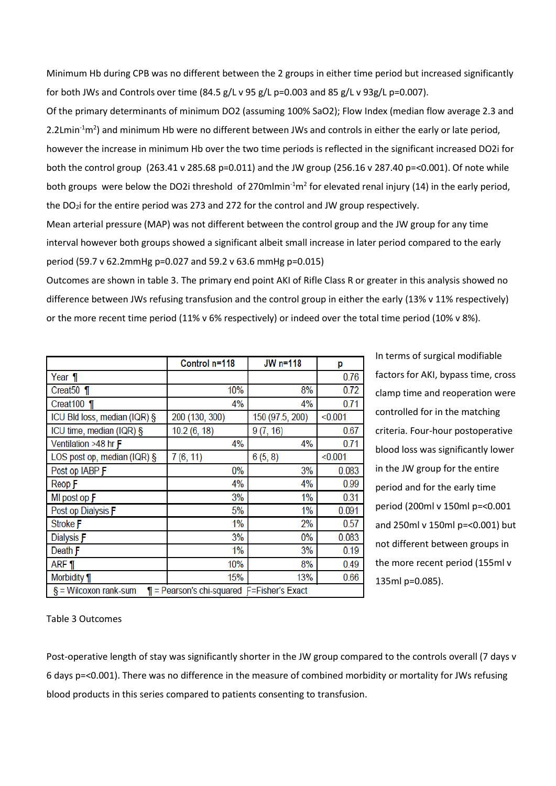Minimum Hb during CPB was no different between the 2 groups in either time period but increased significantly for both JWs and Controls over time  $(84.5 g/L v 95 g/L p=0.003$  and  $85 g/L v 93g/L p=0.007$ ).

Of the primary determinants of minimum DO2 (assuming 100% SaO2); Flow Index (median flow average 2.3 and 2.2Lmin<sup>-1</sup>m<sup>2</sup>) and minimum Hb were no different between JWs and controls in either the early or late period, however the increase in minimum Hb over the two time periods is reflected in the significant increased DO2i for both the control group (263.41 v 285.68 p=0.011) and the JW group (256.16 v 287.40 p=<0.001). Of note while both groups were below the DO2i threshold of 270mlmin<sup>-1</sup>m<sup>2</sup> for elevated renal injury [\(14\)](#page-6-8) in the early period, the DO2i for the entire period was 273 and 272 for the control and JW group respectively.

Mean arterial pressure (MAP) was not different between the control group and the JW group for any time interval however both groups showed a significant albeit small increase in later period compared to the early period (59.7 v 62.2mmHg p=0.027 and 59.2 v 63.6 mmHg p=0.015)

Outcomes are shown in table 3. The primary end point AKI of Rifle Class R or greater in this analysis showed no difference between JWs refusing transfusion and the control group in either the early (13% v 11% respectively) or the more recent time period (11% v 6% respectively) or indeed over the total time period (10% v 8%).

|                                                                              | Control n=118  | JW n=118        | р       |  |  |  |
|------------------------------------------------------------------------------|----------------|-----------------|---------|--|--|--|
| Year ¶                                                                       |                |                 | 0.76    |  |  |  |
| Creat <sub>50</sub> $\eta$                                                   | 10%            | 8%              | 0.72    |  |  |  |
| Creat $100$ ¶                                                                | 4%             | 4%              | 0.71    |  |  |  |
| ICU Bld loss, median (IQR) §                                                 | 200 (130, 300) | 150 (97.5, 200) | < 0.001 |  |  |  |
| ICU time, median (IQR) §                                                     | 10.2(6, 18)    | 9(7, 16)        | 0.67    |  |  |  |
| Ventilation >48 hr F                                                         | 4%             | 4%              | 0.71    |  |  |  |
| LOS post op, median (IQR) §                                                  | 7(6, 11)       | 6(5, 8)         | < 0.001 |  |  |  |
| Post op IABP F                                                               | 0%             | 3%              | 0.083   |  |  |  |
| Reop F                                                                       | 4%             | 4%              | 0.99    |  |  |  |
| MI post op $F$                                                               | 3%             | 1%              | 0.31    |  |  |  |
| Post op Dialysis F                                                           | 5%             | 1%              | 0.091   |  |  |  |
| Stroke F                                                                     | 1%             | 2%              | 0.57    |  |  |  |
| Dialysis F                                                                   | 3%             | 0%              | 0.083   |  |  |  |
| Death F                                                                      | $1\%$          | 3%              | 0.19    |  |  |  |
| ARF ¶                                                                        | 10%            | 8%              | 0.49    |  |  |  |
| Morbidity ¶                                                                  | 15%            | 13%             | 0.66    |  |  |  |
| $\P$ = Pearson's chi-squared $F$ =Fisher's Exact<br>$\S =$ Wilcoxon rank-sum |                |                 |         |  |  |  |

In terms of surgical modifiable factors for AKI, bypass time, cross clamp time and reoperation were controlled for in the matching criteria. Four-hour postoperative blood loss was significantly lower in the JW group for the entire period and for the early time period (200ml v 150ml p=<0.001 and 250ml v 150ml p=<0.001) but not different between groups in the more recent period (155ml v 135ml p=0.085).

Table 3 Outcomes

Post-operative length of stay was significantly shorter in the JW group compared to the controls overall (7 days v 6 days p=<0.001). There was no difference in the measure of combined morbidity or mortality for JWs refusing blood products in this series compared to patients consenting to transfusion.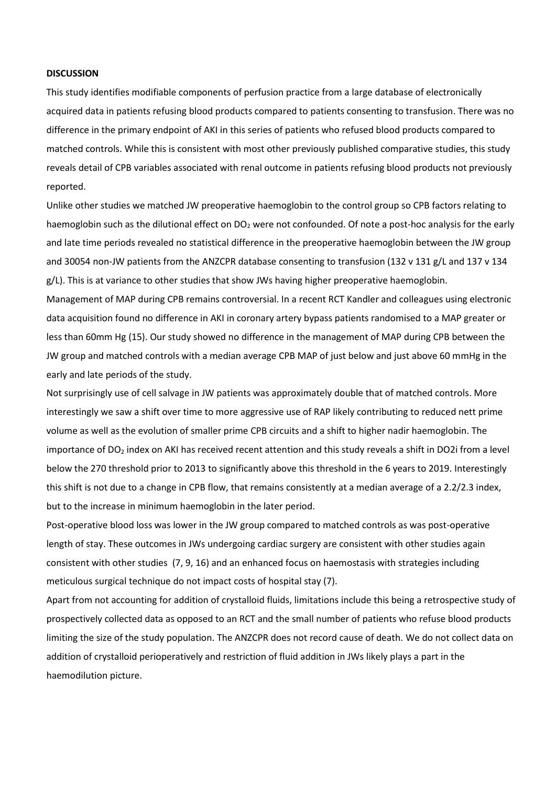#### **DISCUSSION**

This study identifies modifiable components of perfusion practice from a large database of electronically acquired data in patients refusing blood products compared to patients consenting to transfusion. There was no difference in the primary endpoint of AKI in this series of patients who refused blood products compared to matched controls. While this is consistent with most other previously published comparative studies, this study reveals detail of CPB variables associated with renal outcome in patients refusing blood products not previously reported.

Unlike other studies we matched JW preoperative haemoglobin to the control group so CPB factors relating to haemoglobin such as the dilutional effect on DO<sub>2</sub> were not confounded. Of note a post-hoc analysis for the early and late time periods revealed no statistical difference in the preoperative haemoglobin between the JW group and 30054 non-JW patients from the ANZCPR database consenting to transfusion (132 v 131 g/L and 137 v 134 g/L). This is at variance to other studies that show JWs having higher preoperative haemoglobin.

Management of MAP during CPB remains controversial. In a recent RCT Kandler and colleagues using electronic data acquisition found no difference in AKI in coronary artery bypass patients randomised to a MAP greater or less than 60mm Hg [\(15\)](#page-6-9). Our study showed no difference in the management of MAP during CPB between the JW group and matched controls with a median average CPB MAP of just below and just above 60 mmHg in the early and late periods of the study.

Not surprisingly use of cell salvage in JW patients was approximately double that of matched controls. More interestingly we saw a shift over time to more aggressive use of RAP likely contributing to reduced nett prime volume as well as the evolution of smaller prime CPB circuits and a shift to higher nadir haemoglobin. The importance of DO<sub>2</sub> index on AKI has received recent attention and this study reveals a shift in DO2i from a level below the 270 threshold prior to 2013 to significantly above this threshold in the 6 years to 2019. Interestingly this shift is not due to a change in CPB flow, that remains consistently at a median average of a 2.2/2.3 index, but to the increase in minimum haemoglobin in the later period.

Post-operative blood loss was lower in the JW group compared to matched controls as was post-operative length of stay. These outcomes in JWs undergoing cardiac surgery are consistent with other studies again consistent with other studies [\(7,](#page-6-10) [9,](#page-6-3) [16\)](#page-7-0) and an enhanced focus on haemostasis with strategies including meticulous surgical technique do not impact costs of hospital stay [\(7\)](#page-6-10).

Apart from not accounting for addition of crystalloid fluids, limitations include this being a retrospective study of prospectively collected data as opposed to an RCT and the small number of patients who refuse blood products limiting the size of the study population. The ANZCPR does not record cause of death. We do not collect data on addition of crystalloid perioperatively and restriction of fluid addition in JWs likely plays a part in the haemodilution picture.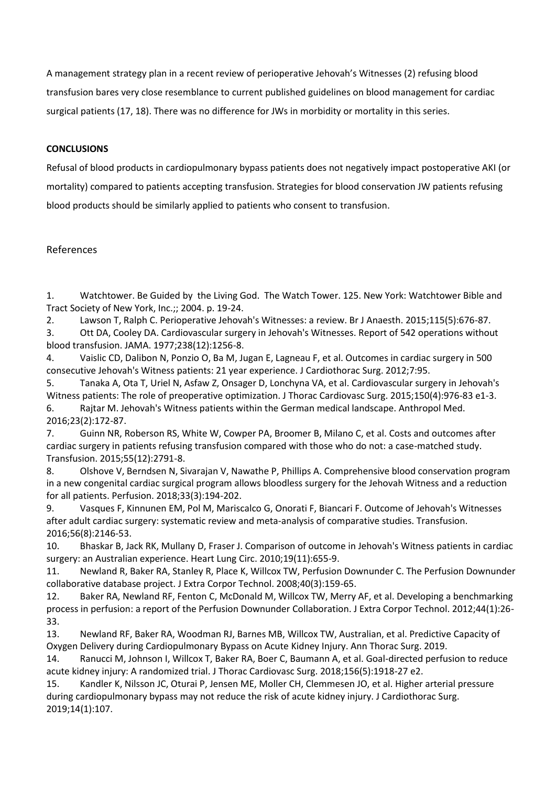A management strategy plan in a recent review of perioperative Jehovah's Witnesses [\(2\)](#page-6-1) refusing blood transfusion bares very close resemblance to current published guidelines on blood management for cardiac surgical patients [\(17,](#page-7-1) [18\)](#page-7-2). There was no difference for JWs in morbidity or mortality in this series.

# **CONCLUSIONS**

Refusal of blood products in cardiopulmonary bypass patients does not negatively impact postoperative AKI (or mortality) compared to patients accepting transfusion. Strategies for blood conservation JW patients refusing blood products should be similarly applied to patients who consent to transfusion.

## References

<span id="page-6-0"></span>1. Watchtower. Be Guided by the Living God. The Watch Tower. 125. New York: Watchtower Bible and Tract Society of New York, Inc.;; 2004. p. 19-24.

<span id="page-6-1"></span>2. Lawson T, Ralph C. Perioperative Jehovah's Witnesses: a review. Br J Anaesth. 2015;115(5):676-87.

<span id="page-6-2"></span>3. Ott DA, Cooley DA. Cardiovascular surgery in Jehovah's Witnesses. Report of 542 operations without blood transfusion. JAMA. 1977;238(12):1256-8.

4. Vaislic CD, Dalibon N, Ponzio O, Ba M, Jugan E, Lagneau F, et al. Outcomes in cardiac surgery in 500 consecutive Jehovah's Witness patients: 21 year experience. J Cardiothorac Surg. 2012;7:95.

5. Tanaka A, Ota T, Uriel N, Asfaw Z, Onsager D, Lonchyna VA, et al. Cardiovascular surgery in Jehovah's Witness patients: The role of preoperative optimization. J Thorac Cardiovasc Surg. 2015;150(4):976-83 e1-3. 6. Rajtar M. Jehovah's Witness patients within the German medical landscape. Anthropol Med. 2016;23(2):172-87.

<span id="page-6-10"></span>7. Guinn NR, Roberson RS, White W, Cowper PA, Broomer B, Milano C, et al. Costs and outcomes after cardiac surgery in patients refusing transfusion compared with those who do not: a case-matched study. Transfusion. 2015;55(12):2791-8.

8. Olshove V, Berndsen N, Sivarajan V, Nawathe P, Phillips A. Comprehensive blood conservation program in a new congenital cardiac surgical program allows bloodless surgery for the Jehovah Witness and a reduction for all patients. Perfusion. 2018;33(3):194-202.

<span id="page-6-3"></span>9. Vasques F, Kinnunen EM, Pol M, Mariscalco G, Onorati F, Biancari F. Outcome of Jehovah's Witnesses after adult cardiac surgery: systematic review and meta-analysis of comparative studies. Transfusion. 2016;56(8):2146-53.

<span id="page-6-4"></span>10. Bhaskar B, Jack RK, Mullany D, Fraser J. Comparison of outcome in Jehovah's Witness patients in cardiac surgery: an Australian experience. Heart Lung Circ. 2010;19(11):655-9.

<span id="page-6-5"></span>11. Newland R, Baker RA, Stanley R, Place K, Willcox TW, Perfusion Downunder C. The Perfusion Downunder collaborative database project. J Extra Corpor Technol. 2008;40(3):159-65.

<span id="page-6-6"></span>12. Baker RA, Newland RF, Fenton C, McDonald M, Willcox TW, Merry AF, et al. Developing a benchmarking process in perfusion: a report of the Perfusion Downunder Collaboration. J Extra Corpor Technol. 2012;44(1):26- 33.

<span id="page-6-7"></span>13. Newland RF, Baker RA, Woodman RJ, Barnes MB, Willcox TW, Australian, et al. Predictive Capacity of Oxygen Delivery during Cardiopulmonary Bypass on Acute Kidney Injury. Ann Thorac Surg. 2019.

<span id="page-6-8"></span>14. Ranucci M, Johnson I, Willcox T, Baker RA, Boer C, Baumann A, et al. Goal-directed perfusion to reduce acute kidney injury: A randomized trial. J Thorac Cardiovasc Surg. 2018;156(5):1918-27 e2.

<span id="page-6-9"></span>15. Kandler K, Nilsson JC, Oturai P, Jensen ME, Moller CH, Clemmesen JO, et al. Higher arterial pressure during cardiopulmonary bypass may not reduce the risk of acute kidney injury. J Cardiothorac Surg. 2019;14(1):107.